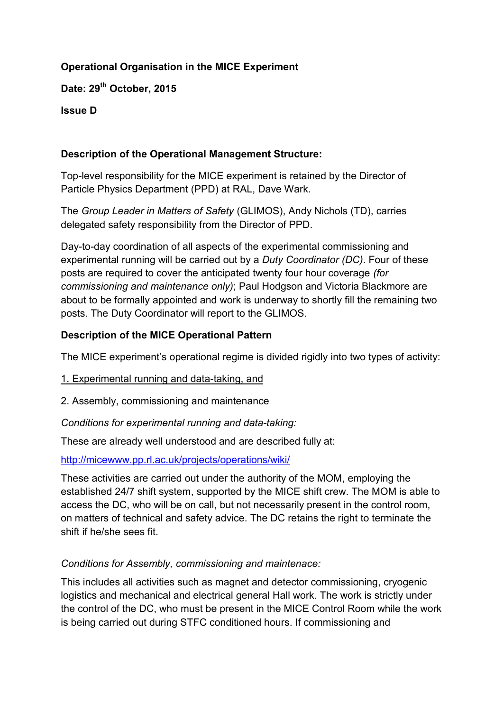# **Operational Organisation in the MICE Experiment**

**Date: 29th October, 2015**

**Issue D**

#### **Description of the Operational Management Structure:**

Top-level responsibility for the MICE experiment is retained by the Director of Particle Physics Department (PPD) at RAL, Dave Wark.

The *Group Leader in Matters of Safety* (GLIMOS), Andy Nichols (TD), carries delegated safety responsibility from the Director of PPD.

Day-to-day coordination of all aspects of the experimental commissioning and experimental running will be carried out by a *Duty Coordinator (DC)*. Four of these posts are required to cover the anticipated twenty four hour coverage *(for commissioning and maintenance only)*; Paul Hodgson and Victoria Blackmore are about to be formally appointed and work is underway to shortly fill the remaining two posts. The Duty Coordinator will report to the GLIMOS.

### **Description of the MICE Operational Pattern**

The MICE experiment's operational regime is divided rigidly into two types of activity:

- 1. Experimental running and data-taking, and
- 2. Assembly, commissioning and maintenance

*Conditions for experimental running and data-taking:*

These are already well understood and are described fully at:

<http://micewww.pp.rl.ac.uk/projects/operations/wiki/>

These activities are carried out under the authority of the MOM, employing the established 24/7 shift system, supported by the MICE shift crew. The MOM is able to access the DC, who will be on call, but not necessarily present in the control room, on matters of technical and safety advice. The DC retains the right to terminate the shift if he/she sees fit.

### *Conditions for Assembly, commissioning and maintenace:*

This includes all activities such as magnet and detector commissioning, cryogenic logistics and mechanical and electrical general Hall work. The work is strictly under the control of the DC, who must be present in the MICE Control Room while the work is being carried out during STFC conditioned hours. If commissioning and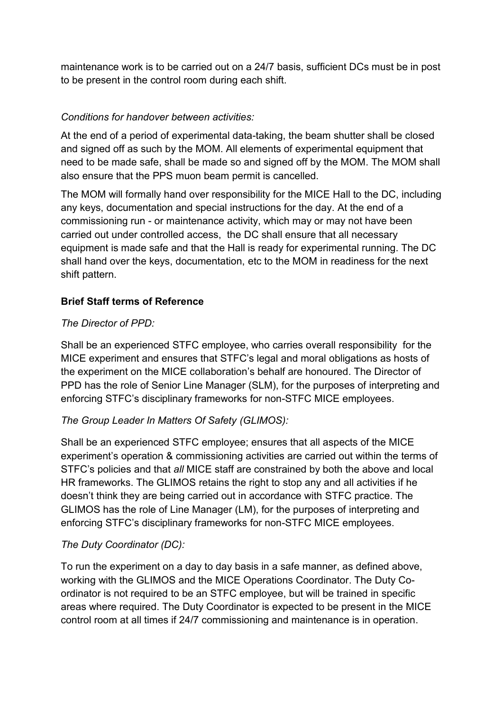maintenance work is to be carried out on a 24/7 basis, sufficient DCs must be in post to be present in the control room during each shift.

# *Conditions for handover between activities:*

At the end of a period of experimental data-taking, the beam shutter shall be closed and signed off as such by the MOM. All elements of experimental equipment that need to be made safe, shall be made so and signed off by the MOM. The MOM shall also ensure that the PPS muon beam permit is cancelled.

The MOM will formally hand over responsibility for the MICE Hall to the DC, including any keys, documentation and special instructions for the day. At the end of a commissioning run - or maintenance activity, which may or may not have been carried out under controlled access, the DC shall ensure that all necessary equipment is made safe and that the Hall is ready for experimental running. The DC shall hand over the keys, documentation, etc to the MOM in readiness for the next shift pattern.

### **Brief Staff terms of Reference**

### *The Director of PPD:*

Shall be an experienced STFC employee, who carries overall responsibility for the MICE experiment and ensures that STFC's legal and moral obligations as hosts of the experiment on the MICE collaboration's behalf are honoured. The Director of PPD has the role of Senior Line Manager (SLM), for the purposes of interpreting and enforcing STFC's disciplinary frameworks for non-STFC MICE employees.

### *The Group Leader In Matters Of Safety (GLIMOS):*

Shall be an experienced STFC employee; ensures that all aspects of the MICE experiment's operation & commissioning activities are carried out within the terms of STFC's policies and that *all* MICE staff are constrained by both the above and local HR frameworks. The GLIMOS retains the right to stop any and all activities if he doesn't think they are being carried out in accordance with STFC practice. The GLIMOS has the role of Line Manager (LM), for the purposes of interpreting and enforcing STFC's disciplinary frameworks for non-STFC MICE employees.

### *The Duty Coordinator (DC):*

To run the experiment on a day to day basis in a safe manner, as defined above, working with the GLIMOS and the MICE Operations Coordinator. The Duty Coordinator is not required to be an STFC employee, but will be trained in specific areas where required. The Duty Coordinator is expected to be present in the MICE control room at all times if 24/7 commissioning and maintenance is in operation.